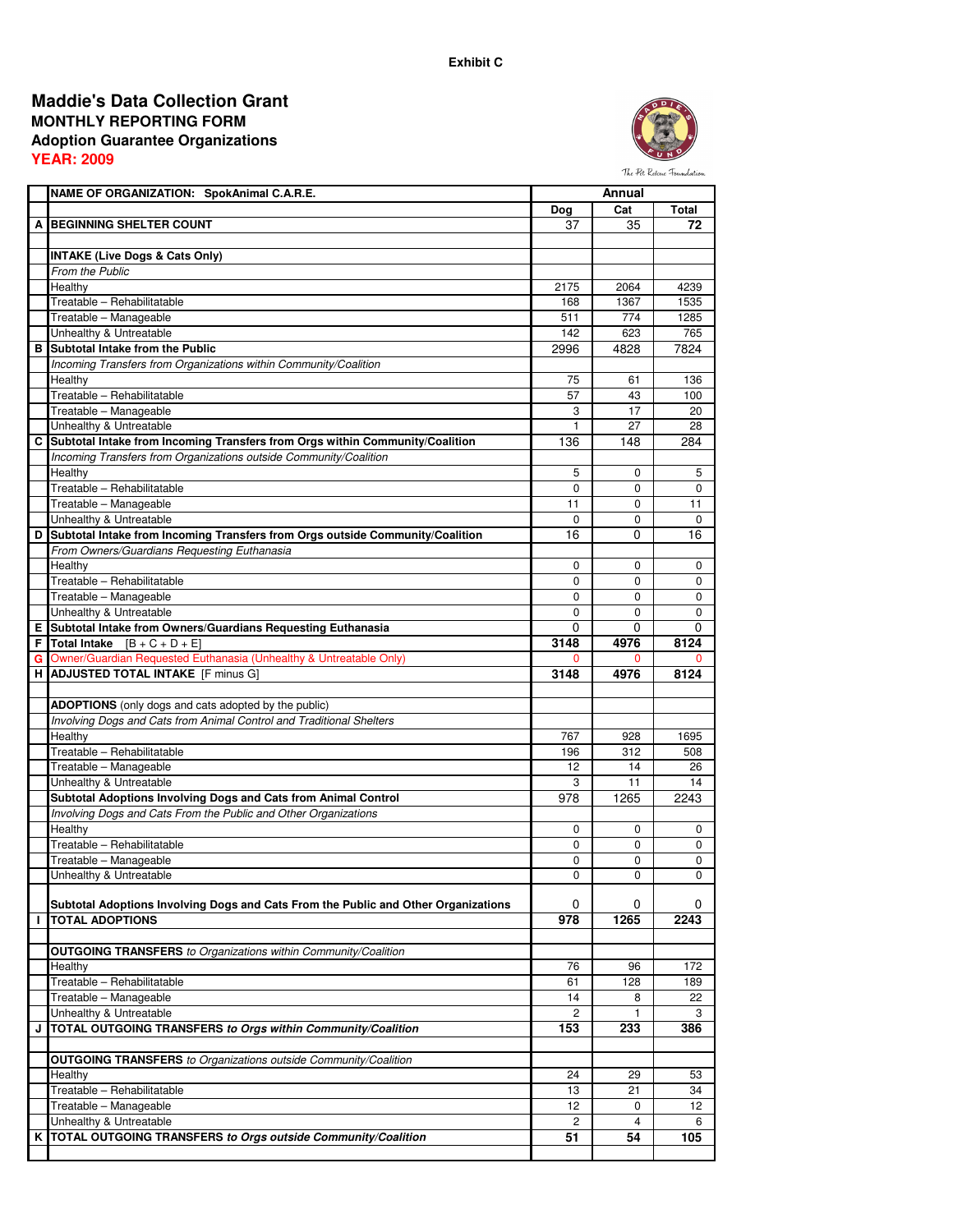## **MONTHLY REPORTING FORM Adoption Guarantee Organizations YEAR: 2009 Maddie's Data Collection Grant**



**NAME OF ORGANIZATION: SpokAnimal C.A.R.E.** Dog | Cat | Total **A BEGINNING SHELTER COUNT 1** 37 35 72 **INTAKE (Live Dogs & Cats Only)** From the Public Healthy 2175 2064 4239 Treatable – Rehabilitatable 1535 i 168 | 1768 | 1768 | 1768 | 1768 | 1768 | 1768 | 1768 | 1768 | 1768 | 1768 | Treatable – Manageable 511 774 1285 Unhealthy & Untreatable 142 and the state of the University of the University of the Second 142 and 142 and 765 **B Subtotal Intake from the Public** 2996 4828 7824 Incoming Transfers from Organizations within Community/Coalition Healthy 75 61 136 Treatable – Rehabilitatable 100 and 100 and 100 and 100 and 100 and 100 and 100 and 100 and 100 and 100 and 100 and 100 and 100 and 100 and 100 and 100 and 100 and 100 and 100 and 100 and 100 and 100 and 100 and 100 and 10 Treatable – Manageable 2020 and 2020 and 3 17 20 3 17 20 Unhealthy & Untreatable 28 28 **C Subtotal Intake from Incoming Transfers from Orgs within Community/Coalition** 136 148 284 Incoming Transfers from Organizations outside Community/Coalition Healthy 5 0 5 Treatable – Rehabilitatable 0 0 0 Treatable – Manageable 11 0 11 Unhealthy & Untreatable 0 0 0 **D** Subtotal Intake from Incoming Transfers from Orgs outside Community/Coalition 16 16 0 16 From Owners/Guardians Requesting Euthanasia Healthy 0 0 0 Treatable – Rehabilitatable 0 0 0 Treatable – Manageable **blue of the contract of the contract of the contract of the contract of the contract of the contract of the contract of the contract of the contract of the contract of the contract of the contract o** Unhealthy & Untreatable 0 0 0 **E Subtotal Intake from Owners/Guardians Requesting Euthanasia** 0 0 0 **F** Total Intake  $[B + C + D + E]$ **G** Owner/Guardian Requested Euthanasia (Unhealthy & Untreatable Only) 0 0 0 treatable 0 0 **Annual H ADJUSTED TOTAL INTAKE** [F minus G] **3148 4976 8124 ADOPTIONS** (only dogs and cats adopted by the public) Involving Dogs and Cats from Animal Control and Traditional Shelters Healthy 767 928 1695 Treatable – Rehabilitatable 196 312 508 Treatable – Manageable 12 14 26 Unhealthy & Untreatable 3 2 11 2 14 **Subtotal Adoptions Involving Dogs and Cats from Animal Control 61 1998 1265 12243** Involving Dogs and Cats From the Public and Other Organizations Healthy 0 0 0 Treatable – Rehabilitatable **1986** Treatable – Manageable **1986 of 1996 of 1996 of 1996 of 1996 of 1996 of 1996 of 1996 of 1996 of 1996 of 1996 of 199** Unhealthy & Untreatable 0 0 0 **Subtotal Adoptions Involving Dogs and Cats From the Public and Other Organizations** 0 0 0 **I TOTAL ADOPTIONS 978 1265 2243 OUTGOING TRANSFERS** to Organizations within Community/Coalition Healthy 76 96 172 Treatable – Rehabilitatable 61 128 189 Treatable – Manageable 14 8 22 Unhealthy & Untreatable 2 1 3 **J TOTAL OUTGOING TRANSFERS to Orgs within Community/Coalition 153 233 386 OUTGOING TRANSFERS** to Organizations outside Community/Coalition Healthy 24 29 53 Treatable – Rehabilitatable 13 21 34 Treatable – Manageable 12 0 12 Unhealthy & Untreatable 2 4 6 **K TOTAL OUTGOING TRANSFERS to Orgs outside Community/Coalition 51 54 105**